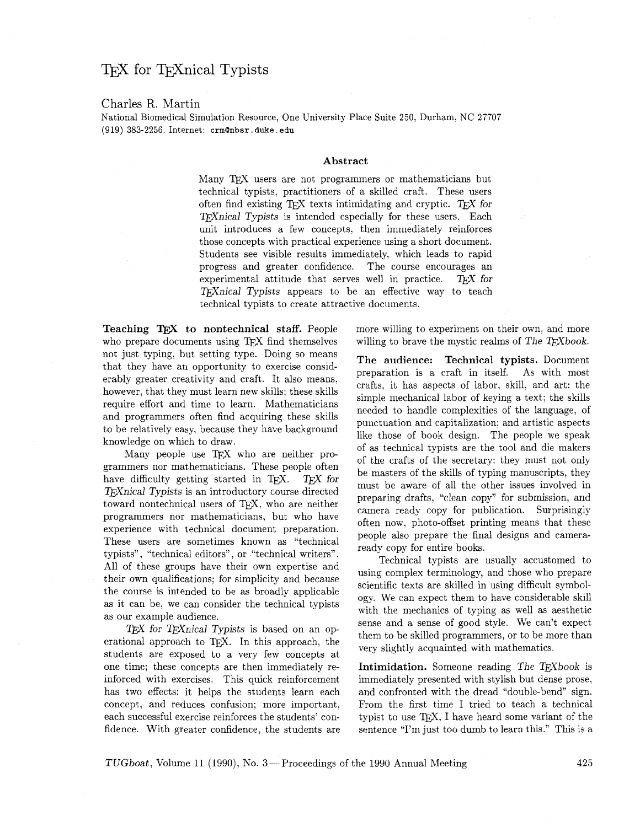## T<sub>F</sub>X for T<sub>F</sub>X nical Typists

## Charles R. Martin

National Biomedical Simulation Resource, One University Place Suite **250,** Durham, NC **27707**  (919) **383-2256.** Internet: **crmanbsr** . **duke. edu** 

## **Abstract**

Many T<sub>E</sub>X users are not programmers or mathematicians but technical typists, practitioners of a skilled craft. These users often find existing TFX texts intimidating and cryptic. TFX for TEXnical Typists is intended especially for these users. Each unit introduces a few concepts, then immediately reinforces those concepts with practical experience using a short document. Students see visible results immediately, which leads to rapid progress and greater confidence. The course encourages an experimental attitude that serves well in practice.  $TFX$  for T<sub>F</sub>Xnical Typists appears to be an effective way to teach technical typists to create attractive documents.

**Teaching** TEX **to nontechnical staff.** People who prepare documents using TFX find themselves not just typing, but setting type. Doing so means that they have an opportunity to exercise considerably greater creativity and craft. It also means, however, that they must learn new skills; these skills require effort and time to learn. Mathematicians and programmers often find acquiring these skills to be relatively easy, because they have background knowledge on which to draw.

Many people use TEX who are neither programmers nor mathematicians. These people often have difficulty getting started in TFX.  $TFX$  for TFX nical Typists is an introductory course directed toward nontechnical users of TEX, who are neither programmers nor mathematicians, but who have experience with technical document preparation. These users are sometimes known as "technical typists", "technical editors", or "technical writers". All of these groups have their own expertise and their own qualifications; for simplicity and because the course is intended to be as broadly applicable as it can be, we can consider the technical typists as our example audience.

 $T_F X$  for  $T_F X$  nical Typists is based on an operational approach to TEX. In this approach, the students are exposed to a very few concepts at one time; these concepts are then immediately reinforced with exercises. This quick reinforcement has two effects: it helps the students learn each concept, and reduces confusion; more important, each successful exercise reinforces the students' confidence. With greater confidence, the students are more willing to experiment on their own, and more willing to brave the mystic realms of The  $T_{F}Xbook$ .

**The audience: Technical typists.** Document preparation is a craft in itself. As with most crafts, it has aspects of labor, skill, and art: the simple mechanical labor of keying a text; the skills needed to handle complexities of the language, of punctuation and capitalization: and artistic aspects like those of book design. The people we speak of as technical typists are the tool and die makers of the crafts of the secretary: they must not only be masters of the skills of typing manuscripts, they must be aware of all the other issues involved in preparing drafts, "clean copy" for submission, and camera ready copy for publication. Surprisingly often now, photo-offset printing means that these people also prepare the final designs and cameraready copy for entire books.

Technical typists are usually accustomed to using complex terminology, and those who prepare scientific texts are skilled in using difficult symbology. We can expect them to have considerable skill with the mechanics of typing as well as aesthetic sense and a sense of good style. We can't expect them to be skilled programmers, or to be more than very slightly acquainted with mathematics.

**Intimidation.** Someone reading The TFXbook is immediately presented with stylish but dense prose, and confronted with the dread "double-bend" sign. From the first time I tried to teach a technical typist to use  $T_F X$ , I have heard some variant of the sentence "I'm just too dumb to learn this." This is a

TUGboat, Volume 11 (1990), No. 3--Proceedings of the 1990 Annual Meeting **425**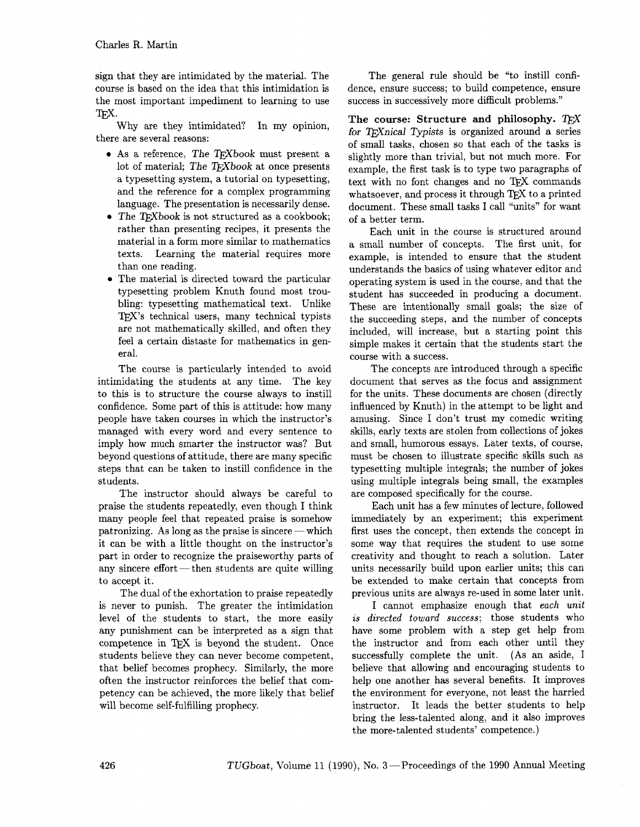sign that they are intimidated by the material. The course is based on the idea that this intimidation is the most important impediment to learning to use TFX.

Why are they intimidated? In my opinion, there are several reasons:

- $\bullet$  As a reference, The TFXbook must present a lot of material; The TEXbook at once presents a typesetting system, a tutorial on typesetting, and the reference for a complex programming language. The presentation is necessarily dense.
- $\bullet$  The TEXbook is not structured as a cookbook; rather than presenting recipes, it presents the material in a form more similar to mathematics texts. Learning the material requires more than one reading.
- The material is directed toward the particular typesetting problem Knuth found most troubling: typesetting mathematical text. Unlike TEX's technical users, many technical typists are not mathematically skilled, and often they feel a certain distaste for mathematics in general.

The course is particularly intended to avoid intimidating the students at any time. The key to this is to structure the course always to instill confidence. Some part of this is attitude: how many people have taken courses in which the instructor's managed with every word and every sentence to imply how much smarter the instructor was? But beyond questions of attitude, there are many specific steps that can be taken to instill confidence in the students.

The instructor should always be careful to praise the students repeatedly, even though I think many people feel that repeated praise is somehow patronizing. As long as the praise is sincere—which many people feel that repeated praise is somehow it can be with a little thought on the instructor's part in order to recognize the praiseworthy parts of patronizing. As long as the praise is sincere — which<br>it can be with a little thought on the instructor's<br>part in order to recognize the praiseworthy parts of<br>any sincere effort — then students are quite willing to accept it.

The dual of the exhortation to praise repeatedly is never to punish. The greater the intimidation level of the students to start, the more easily any punishment can be interpreted as a sign that competence in TEX is beyond the student. Once students believe they can never become competent, that belief becomes prophecy. Similarly, the more often the instructor reinforces the belief that competency can be achieved, the more likely that belief will become self-fulfilling prophecy.

The general rule should be "to instill confidence, ensure success; to build competence, ensure success in successively more difficult problems."

**The course: Structure and philosophy.**  for TEXnical Typists is organized around a series of small tasks, chosen so that each of the tasks is slightly more than trivial, but not much more. For example, the first task is to type two paragraphs of text with no font changes and no TFX commands whatsoever, and process it through TEX to a printed document. These small tasks I call "units" for want of a better term.

Each unit in the course is structured around a small number of concepts. The first unit, for example, is intended to ensure that the student understands the basics of using whatever editor and operating system is used in the course, and that the student has succeeded in producing a document. These are intentionally small goals; the size of the succeeding steps, and the number of concepts included, will increase, but a starting point this simple makes it certain that the students start the course with a success.

The concepts are introduced through a specific document that serves as the focus and assignment for the units. These documents are chosen (directly influenced by Knuth) in the attempt to be light and amusing. Since I don't trust my comedic writing skills, early texts are stolen from collections of jokes and small, humorous essays. Later texts, of course, must be chosen to illustrate specific skills such as typesetting multiple integrals; the number of jokes using multiple integrals being small, the examples are composed specifically for the course.

Each unit has a few minutes of lecture, followed immediately by an experiment; this experiment first uses the concept, then extends the concept in some way that requires the student to use some creativity and thought to reach a solution. Later units necessarily build upon earlier units; this can be extended to make certain that concepts from previous units are always re-used in some later unit.

I cannot emphasize enough that each unit is directed toward success; those students who have some problem with a step get help from the instructor and from each other until they successfully complete the unit. (As an aside, I believe that allowing and encouraging students to help one another has several benefits. It improves the environment for everyone, not least the harried instructor. It leads the better students to help bring the less-talented along, and it also improves the more-talented students' competence.)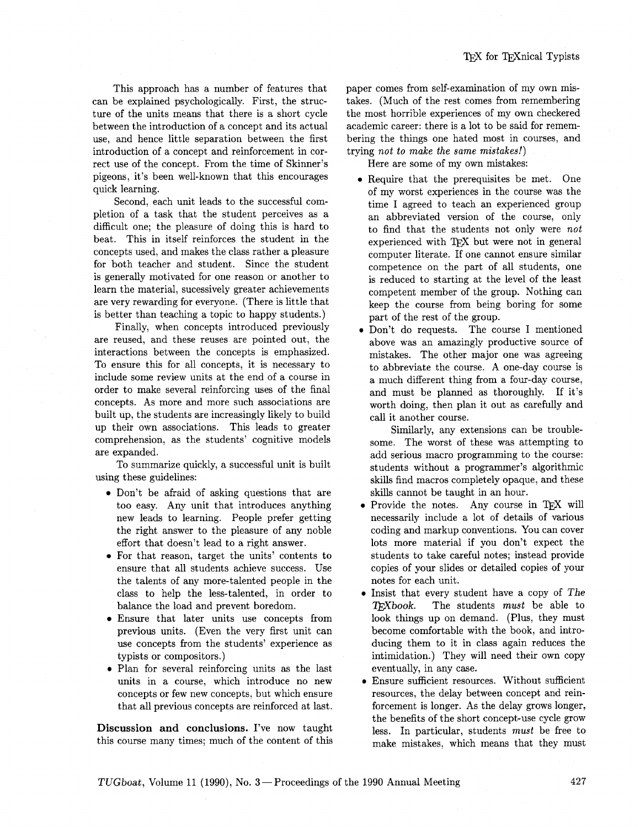This approach has a number of features that can be explained psychologically. First, the structure of the units means that there is a short cycle between the introduction of a concept and its actual use, and hence little separation between the first introduction of a concept and reinforcement in correct use of the concept. From the time of Skinner's pigeons, it's been well-known that this encourages quick learning.

Second, each unit leads to the successful completion of a task that the student perceives as a difficult one; the pleasure of doing this is hard to beat. This in itself reinforces the student in the concepts used, and makes the class rather a pleasure for both teacher and student. Since the student is generally motivated for one reason or another to learn the material, sucessively greater achievements are very rewarding for everyone. (There is little that is better than teaching a topic to happy students.)

Finally, when concepts introduced previously are reused, and these reuses are pointed out, the interactions between the concepts is emphasized. To ensure this for all concepts, it is necessary to include some review units at the end of a course in order to make several reinforcing uses of the final concepts. As more and more such associations are built up, the students are increasingly likely to build up their own associations. This leads to greater comprehension, as the students' cognitive models are expanded.

To summarize quickly, a successful unit is built using these guidelines:

- **0** Don't be afraid of asking questions that are too easy. Any unit that introduces anything new leads to learning. People prefer getting the right answer to the pleasure of any noble effort that doesn't lead to a right answer.
- **0** For that reason, target the units' contents to ensure that all students achieve success. Use the talents of any more-talented people in the class to help the less-talented, in order to balance the load and prevent boredom.
- Ensure that later units use concepts from previous units. (Even the very first unit can use concepts from the students' experience as typists or compositors.)
- **0** Plan for several reinforcing units as the last units in a course, which introduce no new concepts or few new concepts, but which ensure that all previous concepts are reinforced at last.

**Discussion and conclusions.** I've now taught this course many times; much of the content of this paper comes from self-examination of my own mistakes. (Much of the rest comes from remembering the most horrible experiences of my own checkered academic career: there is a lot to be said for remembering the things one hated most in courses, and trying *not to make the same mistakes!)* 

Here are some of my own mistakes:

- **0** Require that the prerequisites be met. One of my worst experiences in the course was the time I agreed to teach an experienced group an abbreviated version of the course, only to find that the students not only were *not*  experienced with TFX but were not in general computer literate. If one cannot ensure similar competence on the part of all students, one is reduced to starting at the level of the least competent member of the group. Nothing can keep the course from being boring for some part of the rest of the group.
- **<sup>0</sup>**Don't do requests. The course I mentioned above was an amazingly productive source of mistakes. The other major one was agreeing to abbreviate the course. A one-day course is a much different thing from a four-day course, and must be planned as thoroughly. If it's worth doing, then plan it out as carefully and call it another course.

Similarly, any extensions can be troublesome. The worst of these was attempting to add serious macro programming to the course: students without a programmer's algorithmic skills find macros completely opaque, and these skills cannot be taught in an hour.

- Provide the notes. Any course in TFX will necessarily include a lot of details of various coding and markup conventions. You can cover lots more material if you don't expect the students to take careful notes; instead provide copies of your slides or detailed copies of your notes for each unit.
- Insist that every student have a copy of The TEXbook. The students *must* be able to look things up on demand. (Plus, they must become comfortable with the book, and introducing them to it in class again reduces the intimidation.) They will need their own copy eventually, in any case.
- $\bullet$  Ensure sufficient resources. Without sufficient resources, the delay between concept and reinforcement is longer. As the delay grows longer, the benefits of the short concept-use cycle grow less. In particular, students *must* be free to make mistakes, which means that they must